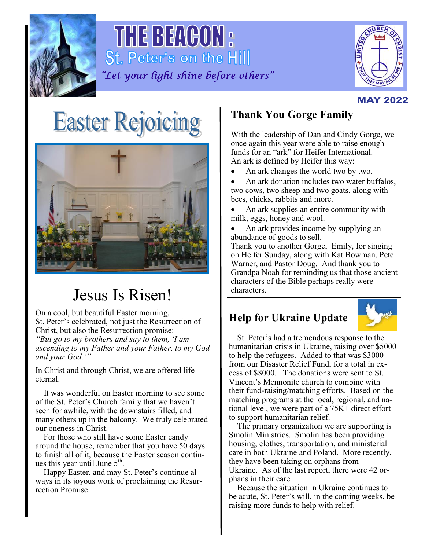

THE BEACON : St. Peter's on the Hill "Let your light shine before others"



#### **MAY 2022**

# **Easter Rejoicing**



## Jesus Is Risen!

On a cool, but beautiful Easter morning, St. Peter's celebrated, not just the Resurrection of Christ, but also the Resurrection promise: *"But go to my brothers and say to them, 'I am ascending to my Father and your Father, to my God and your God.'"*

In Christ and through Christ, we are offered life eternal.

 It was wonderful on Easter morning to see some of the St. Peter's Church family that we haven't seen for awhile, with the downstairs filled, and many others up in the balcony. We truly celebrated our oneness in Christ.

 For those who still have some Easter candy around the house, remember that you have 50 days to finish all of it, because the Easter season continues this year until June  $5<sup>th</sup>$ .

 Happy Easter, and may St. Peter's continue always in its joyous work of proclaiming the Resurrection Promise.

## **Thank You Gorge Family**

With the leadership of Dan and Cindy Gorge, we once again this year were able to raise enough funds for an "ark" for Heifer International. An ark is defined by Heifer this way:

• An ark changes the world two by two.

• An ark donation includes two water buffalos, two cows, two sheep and two goats, along with bees, chicks, rabbits and more.

• An ark supplies an entire community with milk, eggs, honey and wool.

• An ark provides income by supplying an abundance of goods to sell.

Thank you to another Gorge, Emily, for singing on Heifer Sunday, along with Kat Bowman, Pete Warner, and Pastor Doug. And thank you to Grandpa Noah for reminding us that those ancient characters of the Bible perhaps really were characters.

## **Help for Ukraine Update**



 St. Peter's had a tremendous response to the humanitarian crisis in Ukraine, raising over \$5000 to help the refugees. Added to that was \$3000 from our Disaster Relief Fund, for a total in excess of \$8000. The donations were sent to St. Vincent's Mennonite church to combine with their fund-raising/matching efforts. Based on the matching programs at the local, regional, and national level, we were part of a 75K+ direct effort to support humanitarian relief.

 The primary organization we are supporting is Smolin Ministries. Smolin has been providing housing, clothes, transportation, and ministerial care in both Ukraine and Poland. More recently, they have been taking on orphans from Ukraine. As of the last report, there were 42 orphans in their care.

 Because the situation in Ukraine continues to be acute, St. Peter's will, in the coming weeks, be raising more funds to help with relief.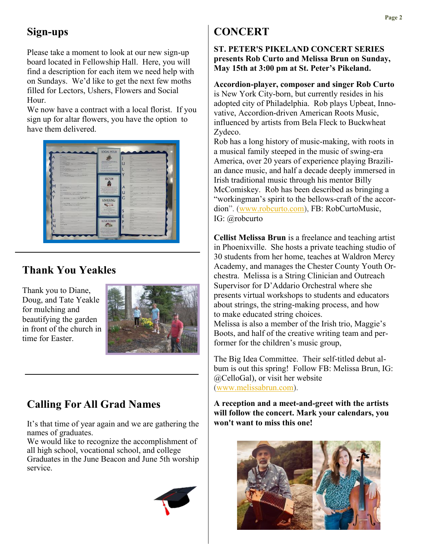### **Sign-ups**

Please take a moment to look at our new sign-up board located in Fellowship Hall. Here, you will find a description for each item we need help with on Sundays. We'd like to get the next few moths filled for Lectors, Ushers, Flowers and Social Hour.

We now have a contract with a local florist. If you sign up for altar flowers, you have the option to have them delivered.



#### **Thank You Yeakles**

Thank you to Diane, Doug, and Tate Yeakle for mulching and beautifying the garden in front of the church in time for Easter.



## **Calling For All Grad Names**

It's that time of year again and we are gathering the names of graduates.

We would like to recognize the accomplishment of all high school, vocational school, and college Graduates in the June Beacon and June 5th worship service.



## **CONCERT**

**ST. PETER'S PIKELAND CONCERT SERIES presents Rob Curto and Melissa Brun on Sunday, May 15th at 3:00 pm at St. Peter's Pikeland.**

**Accordion-player, composer and singer Rob Curto** is New York City-born, but currently resides in his adopted city of Philadelphia. Rob plays Upbeat, Innovative, Accordion-driven American Roots Music, influenced by artists from Bela Fleck to Buckwheat Zydeco.

Rob has a long history of music-making, with roots in a musical family steeped in the music of swing-era America, over 20 years of experience playing Brazilian dance music, and half a decade deeply immersed in Irish traditional music through his mentor Billy McComiskey. Rob has been described as bringing a "workingman's spirit to the bellows-craft of the accordion". ([www.robcurto.com\)](http://www.robcurto.com), FB: RobCurtoMusic, IG: @robcurto

**Cellist Melissa Brun** is a freelance and teaching artist in Phoenixville. She hosts a private teaching studio of 30 students from her home, teaches at Waldron Mercy Academy, and manages the Chester County Youth Orchestra. Melissa is a String Clinician and Outreach Supervisor for D'Addario Orchestral where she presents virtual workshops to students and educators about strings, the string-making process, and how to make educated string choices. Melissa is also a member of the Irish trio, Maggie's Boots, and half of the creative writing team and per-

The Big Idea Committee. Their self-titled debut album is out this spring! Follow FB: Melissa Brun, IG: @CelloGal), or visit her website [\(www.melissabrun.com\).](http://www.melissabrun.com)

former for the children's music group,

**A reception and a meet-and-greet with the artists will follow the concert. Mark your calendars, you won't want to miss this one!**

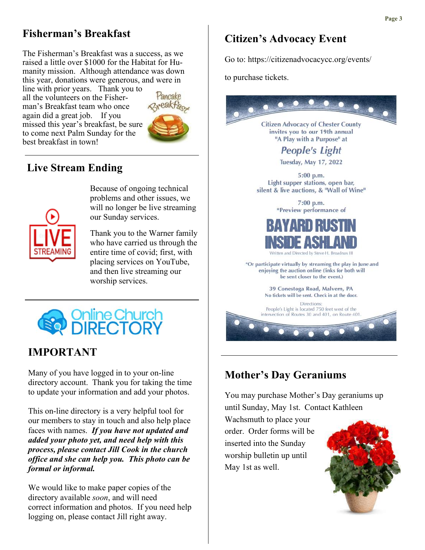#### **Fisherman's Breakfast**

The Fisherman's Breakfast was a success, as we raised a little over \$1000 for the Habitat for Humanity mission. Although attendance was down this year, donations were generous, and were in

line with prior years. Thank you to all the volunteers on the Fisherman's Breakfast team who once again did a great job. If you missed this year's breakfast, be sure to come next Palm Sunday for the best breakfast in town!



#### **Live Stream Ending**



Because of ongoing technical problems and other issues, we will no longer be live streaming our Sunday services.

Thank you to the Warner family who have carried us through the entire time of covid; first, with placing services on YouTube, and then live streaming our worship services.



#### **IMPORTANT**

Many of you have logged in to your on-line directory account. Thank you for taking the time to update your information and add your photos.

This on-line directory is a very helpful tool for our members to stay in touch and also help place faces with names. *If you have not updated and added your photo yet, and need help with this process, please contact Jill Cook in the church office and she can help you. This photo can be formal or informal.*

We would like to make paper copies of the directory available *soon*, and will need correct information and photos. If you need help logging on, please contact Jill right away.

#### **Citizen's Advocacy Event**

Go to: https://citizenadvocacycc.org/events/

to purchase tickets.



#### **Mother's Day Geraniums**

You may purchase Mother's Day geraniums up until Sunday, May 1st. Contact Kathleen

Wachsmuth to place your order. Order forms will be inserted into the Sunday worship bulletin up until May 1st as well.

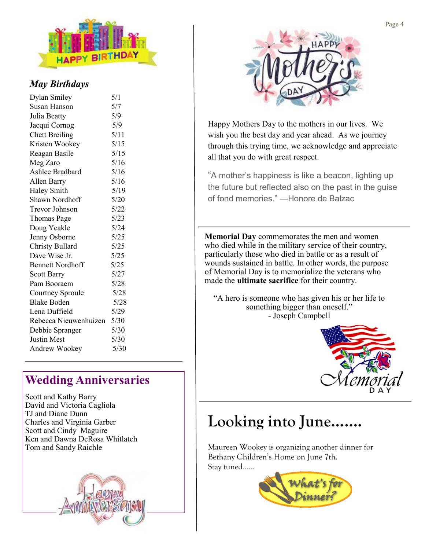

#### *May Birthdays*

| Dylan Smiley            | 5/1  |
|-------------------------|------|
| Susan Hanson            | 5/7  |
| Julia Beatty            | 5/9  |
| Jacqui Cornog           | 5/9  |
| <b>Chett Breiling</b>   | 5/11 |
| Kristen Wookey          | 5/15 |
| Reagan Basile           | 5/15 |
| Meg Zaro                | 5/16 |
| Ashlee Bradbard         | 5/16 |
| Allen Barry             | 5/16 |
| Haley Smith             | 5/19 |
| Shawn Nordhoff          | 5/20 |
| Trevor Johnson          | 5/22 |
| Thomas Page             | 5/23 |
| Doug Yeakle             | 5/24 |
| Jenny Osborne           | 5/25 |
| <b>Christy Bullard</b>  | 5/25 |
| Dave Wise Jr.           | 5/25 |
| <b>Bennett Nordhoff</b> | 5/25 |
| <b>Scott Barry</b>      | 5/27 |
| Pam Booraem             | 5/28 |
| Courtney Sproule        | 5/28 |
| <b>Blake Boden</b>      | 5/28 |
| Lena Duffield           | 5/29 |
| Rebecca Nieuwenhuizen   | 5/30 |
| Debbie Spranger         | 5/30 |
| <b>Justin Mest</b>      | 5/30 |
| Andrew Wookey           | 5/30 |

## **Wedding Anniversaries**

Scott and Kathy Barry David and Victoria Cagliola TJ and Diane Dunn Charles and Virginia Garber Scott and Cindy Maguire Ken and Dawna DeRosa Whitlatch Tom and Sandy Raichle





Happy Mothers Day to the mothers in our lives. We wish you the best day and year ahead. As we journey through this trying time, we acknowledge and appreciate all that you do with great respect.

"A mother's happiness is like a beacon, lighting up the future but reflected also on the past in the guise of fond memories." —Honore de Balzac

**Memorial Day** commemorates the men and women who died while in the military service of their country, particularly those who died in battle or as a result of wounds sustained in battle. In other words, the purpose of Memorial Day is to memorialize the veterans who made the **ultimate sacrifice** for their country.

"A hero is someone who has given his or her life to something bigger than oneself." - Joseph Campbell



## **Looking into June…….**

Maureen Wookey is organizing another dinner for Bethany Children's Home on June 7th. Stay tuned…...